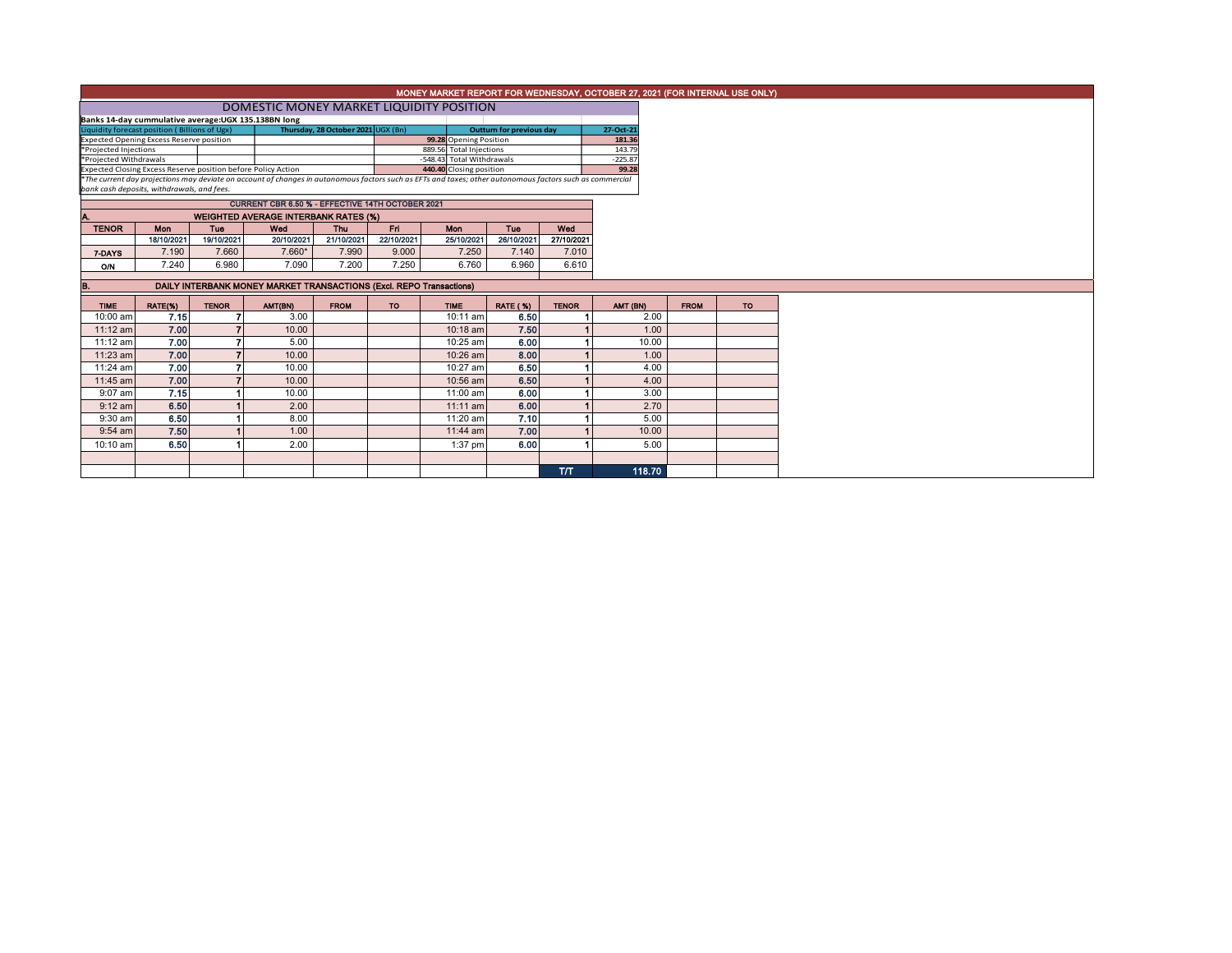|                                                                                                                                                                                                                                                      |                                                                                                 |              |                                                                     |                                    |            |             |                          |              | MONEY MARKET REPORT FOR WEDNESDAY, OCTOBER 27, 2021 (FOR INTERNAL USE ONLY) |             |     |
|------------------------------------------------------------------------------------------------------------------------------------------------------------------------------------------------------------------------------------------------------|-------------------------------------------------------------------------------------------------|--------------|---------------------------------------------------------------------|------------------------------------|------------|-------------|--------------------------|--------------|-----------------------------------------------------------------------------|-------------|-----|
|                                                                                                                                                                                                                                                      | DOMESTIC MONEY MARKET LIQUIDITY POSITION                                                        |              |                                                                     |                                    |            |             |                          |              |                                                                             |             |     |
|                                                                                                                                                                                                                                                      | Banks 14-day cummulative average:UGX 135.138BN long                                             |              |                                                                     |                                    |            |             |                          |              |                                                                             |             |     |
| Liquidity forecast position (Billions of Ugx)                                                                                                                                                                                                        |                                                                                                 |              |                                                                     | Thursday, 28 October 2021 UGX (Bn) |            |             | Outturn for previous day |              | 27-Oct-21                                                                   |             |     |
| <b>Expected Opening Excess Reserve position</b>                                                                                                                                                                                                      |                                                                                                 |              | 181.36                                                              |                                    |            |             |                          |              |                                                                             |             |     |
| *Projected Injections<br>889.56 Total Injections                                                                                                                                                                                                     |                                                                                                 |              |                                                                     |                                    |            |             |                          |              | 143.79                                                                      |             |     |
| -548.43 Total Withdrawals<br>*Projected Withdrawals                                                                                                                                                                                                  |                                                                                                 |              |                                                                     |                                    |            |             |                          |              | $-225.87$                                                                   |             |     |
| 440.40 Closing position<br>Expected Closing Excess Reserve position before Policy Action<br>*The current day projections may deviate on account of changes in autonomous factors such as EFTs and taxes; other autonomous factors such as commercial |                                                                                                 |              |                                                                     |                                    |            |             |                          |              | 99.28                                                                       |             |     |
| bank cash deposits, withdrawals, and fees.                                                                                                                                                                                                           |                                                                                                 |              |                                                                     |                                    |            |             |                          |              |                                                                             |             |     |
|                                                                                                                                                                                                                                                      |                                                                                                 |              |                                                                     |                                    |            |             |                          |              |                                                                             |             |     |
|                                                                                                                                                                                                                                                      | CURRENT CBR 6.50 % - EFFECTIVE 14TH OCTOBER 2021<br><b>WEIGHTED AVERAGE INTERBANK RATES (%)</b> |              |                                                                     |                                    |            |             |                          |              |                                                                             |             |     |
| <b>TENOR</b>                                                                                                                                                                                                                                         | Fri<br>Wed<br><b>Thu</b><br>Mon<br><b>Tue</b><br>Wed<br><b>Mon</b><br><b>Tuo</b>                |              |                                                                     |                                    |            |             |                          |              |                                                                             |             |     |
|                                                                                                                                                                                                                                                      | 18/10/2021                                                                                      | 19/10/2021   | 20/10/2021                                                          | 21/10/2021                         | 22/10/2021 | 25/10/2021  | 26/10/2021               | 27/10/2021   |                                                                             |             |     |
| 7-DAYS                                                                                                                                                                                                                                               | 7.190                                                                                           | 7.660        | 7.660*                                                              | 7.990                              | 9.000      | 7.250       | 7.140                    | 7.010        |                                                                             |             |     |
| O/N                                                                                                                                                                                                                                                  | 7.240                                                                                           | 6.980        | 7.090                                                               | 7.200                              | 7.250      | 6.760       | 6.960                    | 6.610        |                                                                             |             |     |
|                                                                                                                                                                                                                                                      |                                                                                                 |              |                                                                     |                                    |            |             |                          |              |                                                                             |             |     |
| В.                                                                                                                                                                                                                                                   |                                                                                                 |              | DAILY INTERBANK MONEY MARKET TRANSACTIONS (Excl. REPO Transactions) |                                    |            |             |                          |              |                                                                             |             |     |
| <b>TIME</b>                                                                                                                                                                                                                                          | RATE(%)                                                                                         | <b>TENOR</b> | AMT(BN)                                                             | <b>FROM</b>                        | <b>TO</b>  | <b>TIME</b> | <b>RATE (%)</b>          | <b>TENOR</b> | AMT (BN)                                                                    | <b>FROM</b> | TO: |
| 10:00 am                                                                                                                                                                                                                                             | 7.15                                                                                            |              | 3.00                                                                |                                    |            | 10:11 am    | 6.50                     |              | 2.00                                                                        |             |     |
| $11:12$ am                                                                                                                                                                                                                                           | 7.00                                                                                            |              | 10.00                                                               |                                    |            | $10:18$ am  | 7.50                     |              | 1.00                                                                        |             |     |
| 11:12 am                                                                                                                                                                                                                                             | 7.00                                                                                            |              | 5.00                                                                |                                    |            | 10:25 am    | 6.00                     |              | 10.00                                                                       |             |     |
| 11:23 am                                                                                                                                                                                                                                             | 7.00                                                                                            |              | 10.00                                                               |                                    |            | 10:26 am    | 8.00                     |              | 1.00                                                                        |             |     |
| 11:24 am                                                                                                                                                                                                                                             | 7.00                                                                                            |              | 10.00                                                               |                                    |            | 10:27 am    | 6.50                     |              | 4.00                                                                        |             |     |
| 11:45 am                                                                                                                                                                                                                                             | 7.00                                                                                            | 7            | 10.00                                                               |                                    |            | 10:56 am    | 6.50                     |              | 4.00                                                                        |             |     |
| $9:07$ am                                                                                                                                                                                                                                            | 7.15                                                                                            |              | 10.00                                                               |                                    |            | 11:00 am    | 6.00                     |              | 3.00                                                                        |             |     |
| $9:12$ am                                                                                                                                                                                                                                            | 6.50                                                                                            |              | 2.00                                                                |                                    |            | $11:11$ am  | 6.00                     |              | 2.70                                                                        |             |     |
| $9:30$ am                                                                                                                                                                                                                                            | 6.50                                                                                            |              | 8.00                                                                |                                    |            | 11:20 am    | 7.10                     |              | 5.00                                                                        |             |     |
| $9:54$ am                                                                                                                                                                                                                                            | 7.50                                                                                            |              | 1.00                                                                |                                    |            | 11:44 am    | 7.00                     |              | 10.00                                                                       |             |     |
|                                                                                                                                                                                                                                                      |                                                                                                 |              | 2.00                                                                |                                    |            |             |                          |              |                                                                             |             |     |
| $10:10$ am                                                                                                                                                                                                                                           | 6.50                                                                                            |              |                                                                     |                                    |            | 1:37 pm     | 6.00                     |              | 5.00                                                                        |             |     |
|                                                                                                                                                                                                                                                      |                                                                                                 |              |                                                                     |                                    |            |             |                          |              | 118.70                                                                      |             |     |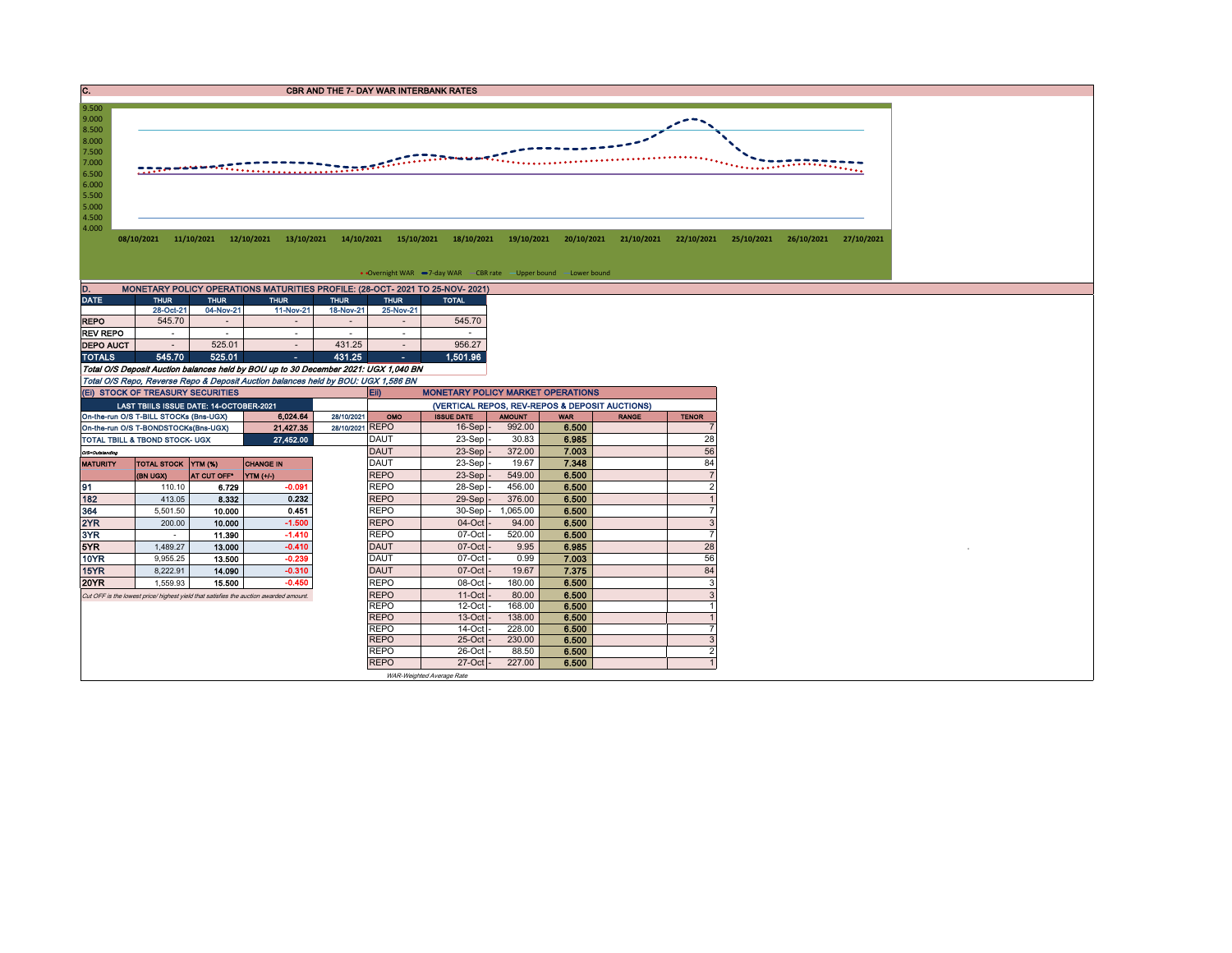C. CREASE CONTROL CONTROL CONTROL CONTROL CONTROL CONTROL CONTROL CONTROL CONTROL CONTROL CONTROL CONTROL CONTROL CONTROL CONTROL CONTROL CONTROL CONTROL CONTROL CONTROL CONTROL CONTROL CONTROL CONTROL CONTROL CONTROL CONT



| MONETARY POLICY OPERATIONS MATURITIES PROFILE: (28-OCT- 2021 TO 25-NOV- 2021)<br>D. |             |             |                          |             |             |              |  |  |  |  |  |  |  |
|-------------------------------------------------------------------------------------|-------------|-------------|--------------------------|-------------|-------------|--------------|--|--|--|--|--|--|--|
| <b>DATE</b>                                                                         | <b>THUR</b> | <b>THUR</b> | <b>THUR</b>              | <b>THUR</b> | <b>THUR</b> | <b>TOTAL</b> |  |  |  |  |  |  |  |
|                                                                                     | 28-Oct-21   | 04-Nov-21   | 11-Nov-21                | 18-Nov-21   | 25-Nov-21   |              |  |  |  |  |  |  |  |
| <b>REPO</b>                                                                         | 545.70      |             |                          |             |             | 545.70       |  |  |  |  |  |  |  |
| <b>REV REPO</b>                                                                     | ۰           | ۰           |                          | ۰           | ۰           |              |  |  |  |  |  |  |  |
| <b>DEPO AUCT</b>                                                                    | ٠           | 525.01      | $\overline{\phantom{a}}$ | 431.25      |             | 956.27       |  |  |  |  |  |  |  |
| <b>TOTALS</b>                                                                       | 545.70      | 525.01      | ۰                        | 431.25      | ۰           | 1,501.96     |  |  |  |  |  |  |  |

Total O/S Deposit Auction balances held by BOU up to 30 December 2021: UGX 1,040 BN

Total O/S Repo, Reverse Repo & Deposit Auction balances held by BOU: UGX 1,586 BN

|                                        | (EI) STOCK OF TREASURY SECURITIES       |                    |                                                                                       |                 | <b>E</b> ii)                                   | <b>MONETARY POLICY MARKET OPERATIONS</b> |               |            |              |              |  |  |  |
|----------------------------------------|-----------------------------------------|--------------------|---------------------------------------------------------------------------------------|-----------------|------------------------------------------------|------------------------------------------|---------------|------------|--------------|--------------|--|--|--|
|                                        | LAST TBIILS ISSUE DATE: 14-OCTOBER-2021 |                    |                                                                                       |                 | (VERTICAL REPOS, REV-REPOS & DEPOSIT AUCTIONS) |                                          |               |            |              |              |  |  |  |
|                                        | On-the-run O/S T-BILL STOCKs (Bns-UGX)  |                    | 6.024.64                                                                              | 28/10/2021      | OMO                                            | <b>ISSUE DATE</b>                        | <b>AMOUNT</b> | <b>WAR</b> | <b>RANGE</b> | <b>TENOR</b> |  |  |  |
|                                        | On-the-run O/S T-BONDSTOCKs(Bns-UGX)    |                    | 21.427.35                                                                             | 28/10/2021 REPO |                                                | $16-Sep$                                 | 992.00        | 6.500      |              |              |  |  |  |
|                                        | TOTAL TBILL & TBOND STOCK- UGX          |                    | 27,452.00                                                                             |                 | <b>DAUT</b>                                    | $23-Sep$                                 | 30.83         | 6.985      |              | 28           |  |  |  |
| O/S=Outstanding                        |                                         |                    |                                                                                       |                 | <b>DAUT</b>                                    | 23-Sep <sup>-</sup>                      | 372.00        | 7.003      |              | 56           |  |  |  |
| TOTAL STOCK YTM (%)<br><b>MATURITY</b> |                                         | <b>CHANGE IN</b>   |                                                                                       | <b>DAUT</b>     | $23-Sep$ -                                     | 19.67                                    | 7.348         |            | 84           |              |  |  |  |
|                                        | <b>(BN UGX)</b>                         | <b>AT CUT OFF'</b> | YTM (+/-)                                                                             |                 | <b>REPO</b>                                    | $23-Sep$ .                               | 549.00        | 6.500      |              |              |  |  |  |
| 91                                     | 110.10                                  | 6.729              | $-0.091$                                                                              |                 | <b>REPO</b>                                    | 28-Sep                                   | 456.00        | 6.500      |              |              |  |  |  |
| 182                                    | 413.05                                  | 8.332              | 0.232                                                                                 |                 | <b>REPO</b>                                    | 29-Sep -                                 | 376.00        | 6.500      |              |              |  |  |  |
| 364                                    | 5,501.50                                | 10.000             | 0.451                                                                                 |                 | <b>REPO</b>                                    | 30-Sep                                   | 065.00        | 6.500      |              |              |  |  |  |
| 2YR                                    | 200.00                                  | 10.000             | $-1.500$                                                                              |                 | <b>REPO</b>                                    | $04$ -Oct $-$                            | 94.00         | 6.500      |              |              |  |  |  |
| 3YR                                    |                                         | 11.390             | $-1.410$                                                                              |                 | <b>REPO</b>                                    | $07-Cct$                                 | 520.00        | 6.500      |              |              |  |  |  |
| 5YR.                                   | 1.489.27                                | 13.000             | $-0.410$                                                                              |                 | <b>DAUT</b>                                    | $07$ -Oct                                | 9.95          | 6.985      |              | 28           |  |  |  |
| 10YR                                   | 9.955.25                                | 13.500             | $-0.239$                                                                              |                 | <b>DAUT</b>                                    | $07$ -Oct                                | 0.99          | 7.003      |              | 56           |  |  |  |
| 15YR                                   | 8,222.91                                | 14.090             | $-0.310$                                                                              |                 | <b>DAUT</b>                                    | $07$ -Oct                                | 19.67         | 7.375      |              | 84           |  |  |  |
| 20YR                                   | 1.559.93                                | 15,500             | $-0.450$                                                                              |                 | <b>REPO</b>                                    | 08-Oct                                   | 180.00        | 6.500      |              |              |  |  |  |
|                                        |                                         |                    | Cut OFF is the lowest price/ highest yield that satisfies the auction awarded amount. |                 | <b>REPO</b>                                    | $11-Oct$                                 | 80.00         | 6.500      |              |              |  |  |  |
|                                        |                                         |                    |                                                                                       |                 | <b>REPO</b>                                    | $12$ -Oct $\cdot$                        | 168.00        | 6.500      |              |              |  |  |  |
|                                        |                                         |                    |                                                                                       |                 | <b>REPO</b>                                    | $13-Oct$                                 | 138.00        | 6.500      |              |              |  |  |  |
|                                        |                                         |                    |                                                                                       |                 | <b>REPO</b>                                    | $14$ -Oct                                | 228.00        | 6.500      |              |              |  |  |  |
|                                        |                                         |                    |                                                                                       |                 | <b>REPO</b>                                    | $25$ -Oct                                | 230.00        | 6.500      |              |              |  |  |  |
|                                        |                                         |                    |                                                                                       |                 | <b>REPO</b>                                    | $26$ -Oct $\cdot$                        | 88.50         | 6.500      |              |              |  |  |  |
|                                        |                                         |                    |                                                                                       |                 | <b>REPO</b>                                    | 27-Oct -                                 | 227.00        | 6.500      |              |              |  |  |  |
|                                        |                                         |                    |                                                                                       |                 |                                                | WAR-Weighted Average Rate                |               |            |              |              |  |  |  |